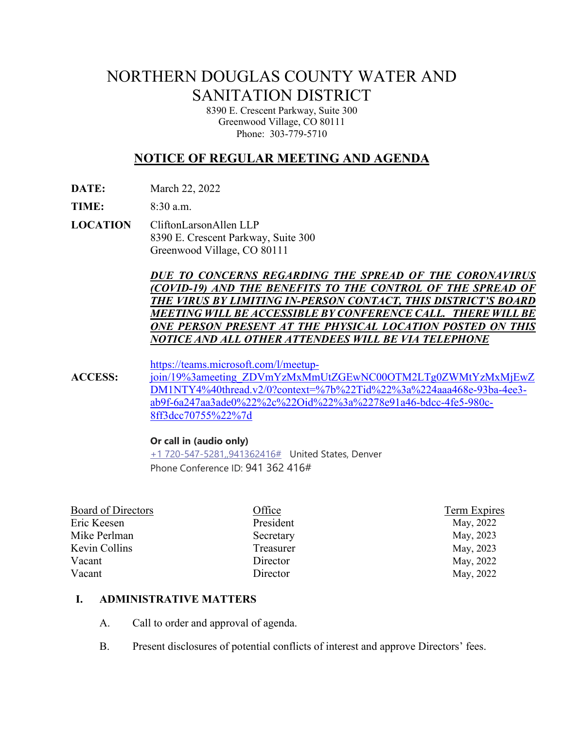# NORTHERN DOUGLAS COUNTY WATER AND SANITATION DISTRICT

8390 E. Crescent Parkway, Suite 300 Greenwood Village, CO 80111 Phone: 303-779-5710

# **NOTICE OF REGULAR MEETING AND AGENDA**

**DATE:** March 22, 2022

**TIME:** 8:30 a.m.

**LOCATION** CliftonLarsonAllen LLP 8390 E. Crescent Parkway, Suite 300 Greenwood Village, CO 80111

> *DUE TO CONCERNS REGARDING THE SPREAD OF THE CORONAVIRUS (COVID-19) AND THE BENEFITS TO THE CONTROL OF THE SPREAD OF THE VIRUS BY LIMITING IN-PERSON CONTACT, THIS DISTRICT'S BOARD MEETING WILL BE ACCESSIBLE BY CONFERENCE CALL. THERE WILLBE ONE PERSON PRESENT AT THE PHYSICAL LOCATION POSTED ON THIS NOTICE AND ALL OTHER ATTENDEES WILL BE VIA TELEPHONE*

[https://teams.microsoft.com/l/meetup-](https://teams.microsoft.com/l/meetup-join/19%3ameeting_ZDVmYzMxMmUtZGEwNC00OTM2LTg0ZWMtYzMxMjEwZDM1NTY4%40thread.v2/0?context=%7b%22Tid%22%3a%224aaa468e-93ba-4ee3-ab9f-6a247aa3ade0%22%2c%22Oid%22%3a%2278e91a46-bdcc-4fe5-980c-8ff3dcc70755%22%7d)

**ACCESS:** [join/19%3ameeting\\_ZDVmYzMxMmUtZGEwNC00OTM2LTg0ZWMtYzMxMjEwZ](https://teams.microsoft.com/l/meetup-join/19%3ameeting_ZDVmYzMxMmUtZGEwNC00OTM2LTg0ZWMtYzMxMjEwZDM1NTY4%40thread.v2/0?context=%7b%22Tid%22%3a%224aaa468e-93ba-4ee3-ab9f-6a247aa3ade0%22%2c%22Oid%22%3a%2278e91a46-bdcc-4fe5-980c-8ff3dcc70755%22%7d) [DM1NTY4%40thread.v2/0?context=%7b%22Tid%22%3a%224aaa468e-93ba-4ee3](https://teams.microsoft.com/l/meetup-join/19%3ameeting_ZDVmYzMxMmUtZGEwNC00OTM2LTg0ZWMtYzMxMjEwZDM1NTY4%40thread.v2/0?context=%7b%22Tid%22%3a%224aaa468e-93ba-4ee3-ab9f-6a247aa3ade0%22%2c%22Oid%22%3a%2278e91a46-bdcc-4fe5-980c-8ff3dcc70755%22%7d) [ab9f-6a247aa3ade0%22%2c%22Oid%22%3a%2278e91a46-bdcc-4fe5-980c-](https://teams.microsoft.com/l/meetup-join/19%3ameeting_ZDVmYzMxMmUtZGEwNC00OTM2LTg0ZWMtYzMxMjEwZDM1NTY4%40thread.v2/0?context=%7b%22Tid%22%3a%224aaa468e-93ba-4ee3-ab9f-6a247aa3ade0%22%2c%22Oid%22%3a%2278e91a46-bdcc-4fe5-980c-8ff3dcc70755%22%7d)[8ff3dcc70755%22%7d](https://teams.microsoft.com/l/meetup-join/19%3ameeting_ZDVmYzMxMmUtZGEwNC00OTM2LTg0ZWMtYzMxMjEwZDM1NTY4%40thread.v2/0?context=%7b%22Tid%22%3a%224aaa468e-93ba-4ee3-ab9f-6a247aa3ade0%22%2c%22Oid%22%3a%2278e91a46-bdcc-4fe5-980c-8ff3dcc70755%22%7d)

#### **Or call in (audio only)**

[+1 720-547-5281,,941362416#](tel:+17205475281,,941362416#%20) United States, Denver Phone Conference ID: 941 362 416#

| Board of Directors | Office    | Term Expires |
|--------------------|-----------|--------------|
| Eric Keesen        | President | May, 2022    |
| Mike Perlman       | Secretary | May, 2023    |
| Kevin Collins      | Treasurer | May, 2023    |
| Vacant             | Director  | May, 2022    |
| Vacant             | Director  | May, 2022    |
|                    |           |              |

#### **I. ADMINISTRATIVE MATTERS**

- A. Call to order and approval of agenda.
- B. Present disclosures of potential conflicts of interest and approve Directors' fees.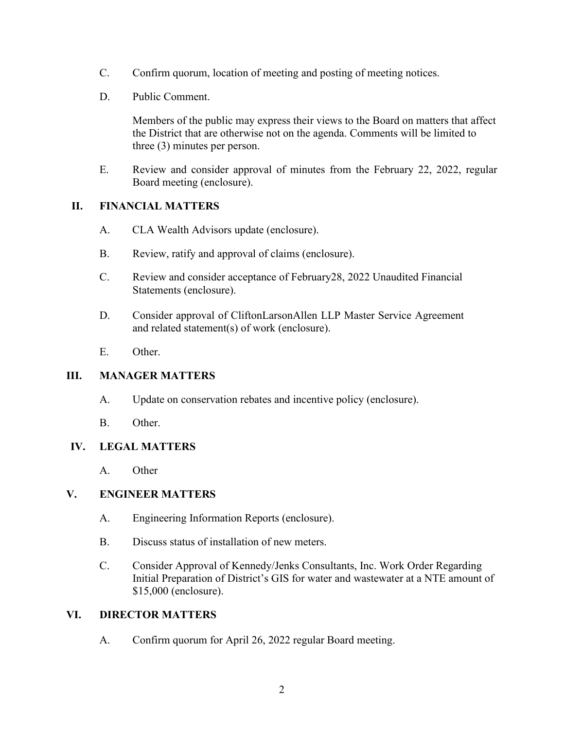- C. Confirm quorum, location of meeting and posting of meeting notices.
- D. Public Comment.

Members of the public may express their views to the Board on matters that affect the District that are otherwise not on the agenda. Comments will be limited to three (3) minutes per person.

E. Review and consider approval of minutes from the February 22, 2022, regular Board meeting (enclosure).

### **II. FINANCIAL MATTERS**

- A. CLA Wealth Advisors update (enclosure).
- B. Review, ratify and approval of claims (enclosure).
- C. Review and consider acceptance of February28, 2022 Unaudited Financial Statements (enclosure).
- D. Consider approval of CliftonLarsonAllen LLP Master Service Agreement and related statement(s) of work (enclosure).
- E. Other.

# **III. MANAGER MATTERS**

- A. Update on conservation rebates and incentive policy (enclosure).
- B. Other.

#### **IV. LEGAL MATTERS**

A. Other

# **V. ENGINEER MATTERS**

- A. Engineering Information Reports (enclosure).
- B. Discuss status of installation of new meters.
- C. Consider Approval of Kennedy/Jenks Consultants, Inc. Work Order Regarding Initial Preparation of District's GIS for water and wastewater at a NTE amount of \$15,000 (enclosure).

#### **VI. DIRECTOR MATTERS**

A. Confirm quorum for April 26, 2022 regular Board meeting.